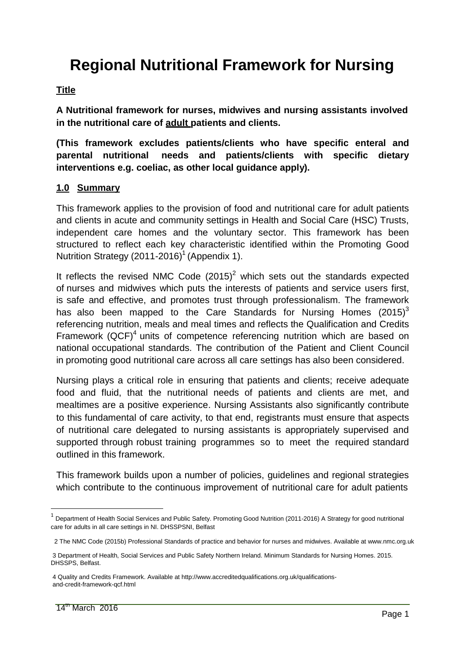# **Regional Nutritional Framework for Nursing**

#### **Title**

**A Nutritional framework for nurses, midwives and nursing assistants involved in the nutritional care of adult patients and clients.**

**(This framework excludes patients/clients who have specific enteral and parental nutritional needs and patients/clients with specific dietary interventions e.g. coeliac, as other local guidance apply).**

#### **1.0 Summary**

This framework applies to the provision of food and nutritional care for adult patients and clients in acute and community settings in Health and Social Care (HSC) Trusts, independent care homes and the voluntary sector. This framework has been structured to reflect each key characteristic identified within the Promoting Good Nutrition Strategy (2011-2016)<sup>1</sup> (Appendix 1).

It reflects the revised NMC Code  $(2015)^2$  which sets out the standards expected of nurses and midwives which puts the interests of patients and service users first, is safe and effective, and promotes trust through professionalism. The framework has also been mapped to the Care Standards for Nursing Homes  $(2015)^3$ referencing nutrition, meals and meal times and reflects the Qualification and Credits Framework  $(QCF)^4$  units of competence referencing nutrition which are based on national occupational standards. The contribution of the Patient and Client Council in promoting good nutritional care across all care settings has also been considered.

Nursing plays a critical role in ensuring that patients and clients; receive adequate food and fluid, that the nutritional needs of patients and clients are met, and mealtimes are a positive experience. Nursing Assistants also significantly contribute to this fundamental of care activity, to that end, registrants must ensure that aspects of nutritional care delegated to nursing assistants is appropriately supervised and supported through robust training programmes so to meet the required standard outlined in this framework.

This framework builds upon a number of policies, guidelines and regional strategies which contribute to the continuous improvement of nutritional care for adult patients

<sup>1</sup> Department of Health Social Services and Public Safety. Promoting Good Nutrition (2011-2016) A Strategy for good nutritional care for adults in all care settings in NI. DHSSPSNI, Belfast

 <sup>2</sup> The NMC Code (2015b) Professional Standards of practice and behavior for nurses and midwives. Available at www.nmc.org.uk

 <sup>3</sup> Department of Health, Social Services and Public Safety Northern Ireland. Minimum Standards for Nursing Homes. 2015. DHSSPS, Belfast.

 <sup>4</sup> Quality and Credits Framework. Available at http://www.accreditedqualifications.org.uk/qualifications and-credit-framework-qcf.html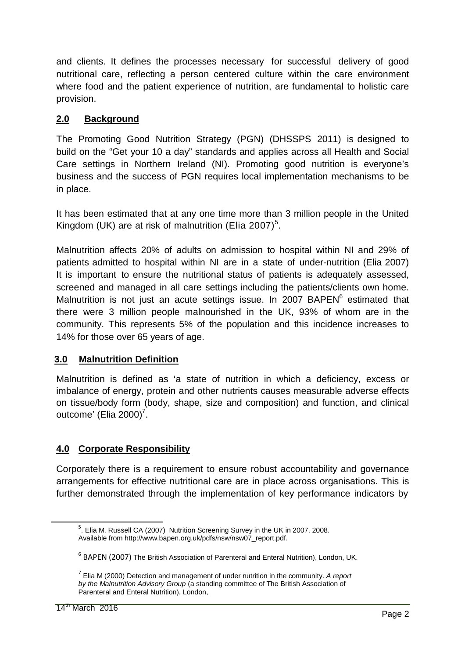and clients. It defines the processes necessary for successful delivery of good nutritional care, reflecting a person centered culture within the care environment where food and the patient experience of nutrition, are fundamental to holistic care provision.

# **2.0 Background**

The Promoting Good Nutrition Strategy (PGN) (DHSSPS 2011) is designed to build on the "Get your 10 a day" standards and applies across all Health and Social Care settings in Northern Ireland (NI). Promoting good nutrition is everyone's business and the success of PGN requires local implementation mechanisms to be in place.

It has been estimated that at any one time more than 3 million people in the United Kingdom (UK) are at risk of malnutrition (Elia 2007)<sup>5</sup>.

Malnutrition affects 20% of adults on admission to hospital within NI and 29% of patients admitted to hospital within NI are in a state of under-nutrition (Elia 2007) It is important to ensure the nutritional status of patients is adequately assessed, screened and managed in all care settings including the patients/clients own home. Malnutrition is not just an acute settings issue. In 2007 BAPEN<sup>6</sup> estimated that there were 3 million people malnourished in the UK, 93% of whom are in the community. This represents 5% of the population and this incidence increases to 14% for those over 65 years of age.

## **3.0 Malnutrition Definition**

Malnutrition is defined as 'a state of nutrition in which a deficiency, excess or imbalance of energy, protein and other nutrients causes measurable adverse effects on tissue/body form (body, shape, size and composition) and function, and clinical outcome' (Elia 2000)<sup>7</sup>.

# **4.0 Corporate Responsibility**

Corporately there is a requirement to ensure robust accountability and governance arrangements for effective nutritional care are in place across organisations. This is further demonstrated through the implementation of key performance indicators by

<sup>&</sup>lt;sup>5</sup>. Elia M. Russell CA (2007) Nutrition Screening Survey in the UK in 2007. 2008. Available from http://www.bapen.org.uk/pdfs/nsw/nsw07\_report.pdf.

 $^6$  BAPEN (2007) The British Association of Parenteral and Enteral Nutrition), London, UK.

 $<sup>7</sup>$  Elia M (2000) Detection and management of under nutrition in the community. A report</sup> by the Malnutrition Advisory Group (a standing committee of The British Association of Parenteral and Enteral Nutrition), London,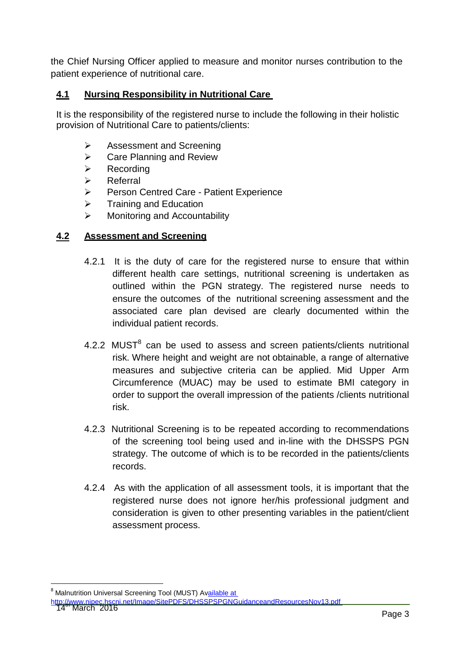the Chief Nursing Officer applied to measure and monitor nurses contribution to the patient experience of nutritional care.

## **4.1 Nursing Responsibility in Nutritional Care**

It is the responsibility of the registered nurse to include the following in their holistic provision of Nutritional Care to patients/clients:

- **EXECUTE:** Assessment and Screening
- $\triangleright$  Care Planning and Review
- $\triangleright$  Recording
- $\triangleright$  Referral
- Person Centred Care Patient Experience
- $\triangleright$  Training and Education
- $\triangleright$  Monitoring and Accountability

#### **4.2 Assessment and Screening**

- 4.2.1 It is the duty of care for the registered nurse to ensure that within different health care settings, nutritional screening is undertaken as outlined within the PGN strategy. The registered nurse needs to ensure the outcomes of the nutritional screening assessment and the associated care plan devised are clearly documented within the individual patient records.
- 4.2.2  $MUST<sup>8</sup>$  can be used to assess and screen patients/clients nutritional risk. Where height and weight are not obtainable, a range of alternative measures and subjective criteria can be applied. Mid Upper Arm Circumference (MUAC) may be used to estimate BMI category in order to support the overall impression of the patients /clients nutritional risk.
- 4.2.3 Nutritional Screening is to be repeated according to recommendations of the screening tool being used and in-line with the DHSSPS PGN strategy. The outcome of which is to be recorded in the patients/clients records.
- 4.2.4 As with the application of all assessment tools, it is important that the registered nurse does not ignore her/his professional judgment and consideration is given to other presenting variables in the patient/client assessment process.

<sup>&</sup>lt;sup>8</sup> Malnutrition Universal Screening Tool (MUST) Available at

http://www.nipec.hscni.net/Image/SitePDFS/DHSSPSPGNGuidanceandResourcesNov13.pdf<br>14'' March 2016 Page 3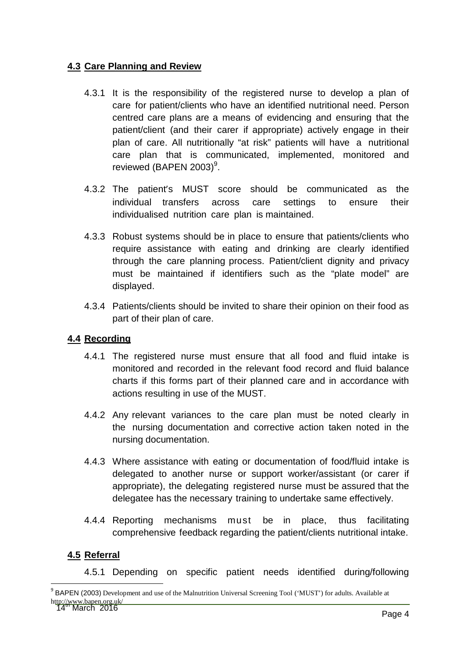### **4.3 Care Planning and Review**

- 4.3.1 It is the responsibility of the registered nurse to develop a plan of care for patient/clients who have an identified nutritional need. Person centred care plans are a means of evidencing and ensuring that the patient/client (and their carer if appropriate) actively engage in their plan of care. All nutritionally "at risk" patients will have a nutritional care plan that is communicated, implemented, monitored and reviewed (BAPEN 2003)<sup>9</sup>.
- 4.3.2 The patient's MUST score should be communicated as the individual transfers across care settings to ensure their individualised nutrition care plan is maintained.
- 4.3.3 Robust systems should be in place to ensure that patients/clients who require assistance with eating and drinking are clearly identified through the care planning process. Patient/client dignity and privacy must be maintained if identifiers such as the "plate model" are displayed.
- 4.3.4 Patients/clients should be invited to share their opinion on their food as part of their plan of care.

## **4.4 Recording**

- 4.4.1 The registered nurse must ensure that all food and fluid intake is monitored and recorded in the relevant food record and fluid balance charts if this forms part of their planned care and in accordance with actions resulting in use of the MUST.
- 4.4.2 Any relevant variances to the care plan must be noted clearly in the nursing documentation and corrective action taken noted in the nursing documentation.
- 4.4.3 Where assistance with eating or documentation of food/fluid intake is delegated to another nurse or support worker/assistant (or carer if appropriate), the delegating registered nurse must be assured that the delegatee has the necessary training to undertake same effectively.
- 4.4.4 Reporting mechanisms must be in place, thus facilitating comprehensive feedback regarding the patient/clients nutritional intake.

## **4.5 Referral**

4.5.1 Depending on specific patient needs identified during/following

http://www.bapen.org.uk/<br>14 March 2016 Page 4 <sup>9</sup> BAPEN (2003) Development and use of the Malnutrition Universal Screening Tool ('MUST') for adults. Available at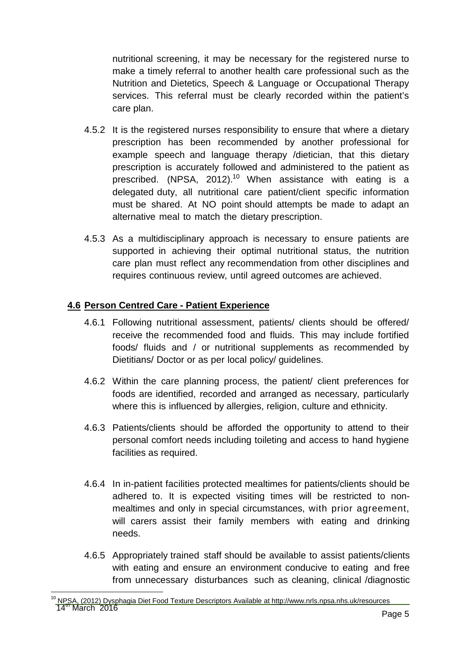nutritional screening, it may be necessary for the registered nurse to make a timely referral to another health care professional such as the Nutrition and Dietetics, Speech & Language or Occupational Therapy services. This referral must be clearly recorded within the patient's care plan.

- 4.5.2 It is the registered nurses responsibility to ensure that where a dietary prescription has been recommended by another professional for example speech and language therapy /dietician, that this dietary prescription is accurately followed and administered to the patient as prescribed. (NPSA, 2012).<sup>10</sup> When assistance with eating is a delegated duty, all nutritional care patient/client specific information must be shared. At NO point should attempts be made to adapt an alternative meal to match the dietary prescription.
- 4.5.3 As a multidisciplinary approach is necessary to ensure patients are supported in achieving their optimal nutritional status, the nutrition care plan must reflect any recommendation from other disciplines and requires continuous review, until agreed outcomes are achieved.

#### **4.6 Person Centred Care - Patient Experience**

- 4.6.1 Following nutritional assessment, patients/ clients should be offered/ receive the recommended food and fluids. This may include fortified foods/ fluids and / or nutritional supplements as recommended by Dietitians/ Doctor or as per local policy/ guidelines.
- 4.6.2 Within the care planning process, the patient/ client preferences for foods are identified, recorded and arranged as necessary, particularly where this is influenced by allergies, religion, culture and ethnicity.
- 4.6.3 Patients/clients should be afforded the opportunity to attend to their personal comfort needs including toileting and access to hand hygiene facilities as required.
- 4.6.4 In in-patient facilities protected mealtimes for patients/clients should be adhered to. It is expected visiting times will be restricted to nonmealtimes and only in special circumstances, with prior agreement, will carers assist their family members with eating and drinking needs.
- 4.6.5 Appropriately trained staff should be available to assist patients/clients with eating and ensure an environment conducive to eating and free from unnecessary disturbances such as cleaning, clinical /diagnostic

د المستقل المستقل المستقل المستقل المستقل المستقل المستقل المستقل المستقل المستقل المستقل المستقل المستقل المس<br>Page 5 <sup>10</sup> NPSA, (2012) Dysphagia Diet Food Texture Descriptors Available at http://www.nrls.npsa.nhs.uk/resources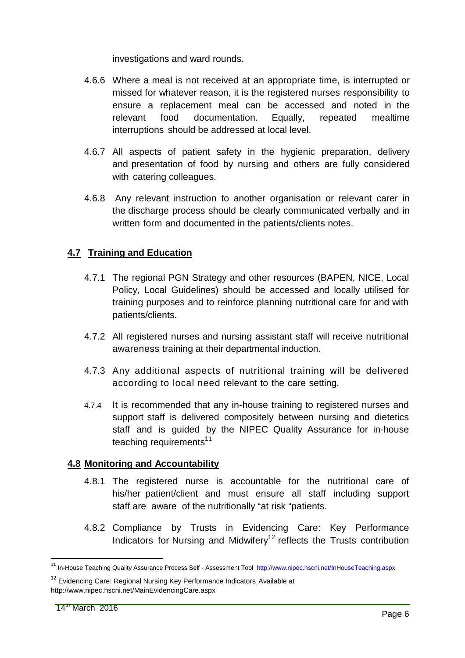investigations and ward rounds.

- 4.6.6 Where a meal is not received at an appropriate time, is interrupted or missed for whatever reason, it is the registered nurses responsibility to ensure a replacement meal can be accessed and noted in the relevant food documentation. Equally, repeated mealtime interruptions should be addressed at local level.
- 4.6.7 All aspects of patient safety in the hygienic preparation, delivery and presentation of food by nursing and others are fully considered with catering colleagues.
- 4.6.8 Any relevant instruction to another organisation or relevant carer in the discharge process should be clearly communicated verbally and in written form and documented in the patients/clients notes.

## **4.7 Training and Education**

- 4.7.1 The regional PGN Strategy and other resources (BAPEN, NICE, Local Policy, Local Guidelines) should be accessed and locally utilised for training purposes and to reinforce planning nutritional care for and with patients/clients.
- 4.7.2 All registered nurses and nursing assistant staff will receive nutritional awareness training at their departmental induction.
- 4.7.3 Any additional aspects of nutritional training will be delivered according to local need relevant to the care setting.
- 4.7.4 It is recommended that any in-house training to registered nurses and support staff is delivered compositely between nursing and dietetics staff and is guided by the NIPEC Quality Assurance for in-house teaching requirements $11$

## **4.8 Monitoring and Accountability**

- 4.8.1 The registered nurse is accountable for the nutritional care of his/her patient/client and must ensure all staff including support staff are aware of the nutritionally "at risk "patients.
- 4.8.2 Compliance by Trusts in Evidencing Care: Key Performance Indicators for Nursing and Midwifery<sup>12</sup> reflects the Trusts contribution

<sup>&</sup>lt;sup>11</sup> In-House Teaching Quality Assurance Process Self - Assessment Tool http://www.nipec.hscni.net/InHouseTeaching.aspx

<sup>&</sup>lt;sup>12</sup> Evidencing Care: Regional Nursing Key Performance Indicators Available at http://www.nipec.hscni.net/MainEvidencingCare.aspx